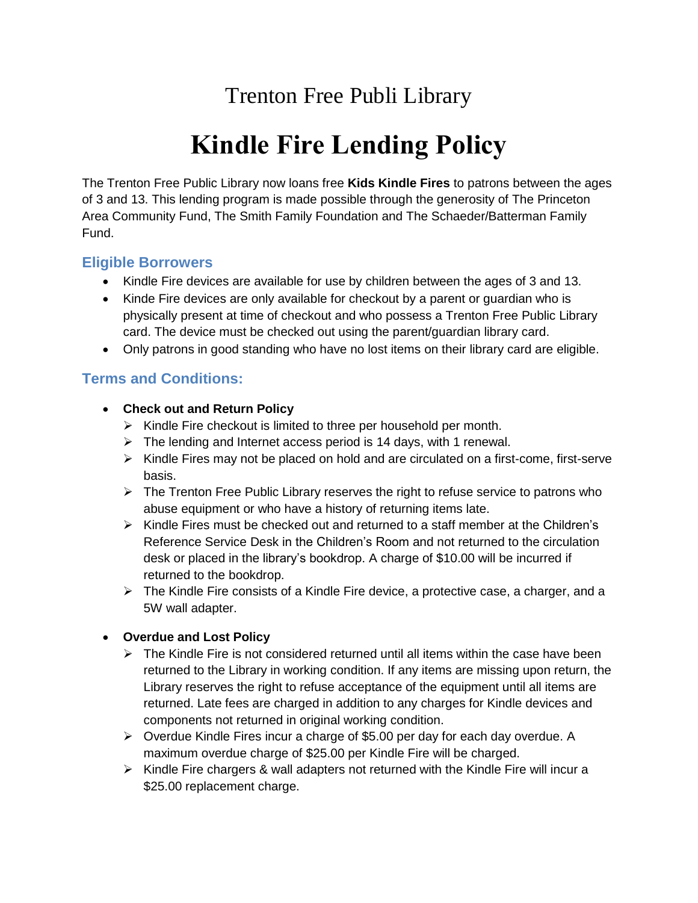# Trenton Free Publi Library

# **Kindle Fire Lending Policy**

The Trenton Free Public Library now loans free **Kids Kindle Fires** to patrons between the ages of 3 and 13. This lending program is made possible through the generosity of The Princeton Area Community Fund, The Smith Family Foundation and The Schaeder/Batterman Family Fund.

### **Eligible Borrowers**

- Kindle Fire devices are available for use by children between the ages of 3 and 13.
- Kinde Fire devices are only available for checkout by a parent or guardian who is physically present at time of checkout and who possess a Trenton Free Public Library card. The device must be checked out using the parent/guardian library card.
- Only patrons in good standing who have no lost items on their library card are eligible.

## **Terms and Conditions:**

- **Check out and Return Policy**
	- $\triangleright$  Kindle Fire checkout is limited to three per household per month.
	- $\triangleright$  The lending and Internet access period is 14 days, with 1 renewal.
	- ➢ Kindle Fires may not be placed on hold and are circulated on a first-come, first-serve basis.
	- $\triangleright$  The Trenton Free Public Library reserves the right to refuse service to patrons who abuse equipment or who have a history of returning items late.
	- $\triangleright$  Kindle Fires must be checked out and returned to a staff member at the Children's Reference Service Desk in the Children's Room and not returned to the circulation desk or placed in the library's bookdrop. A charge of \$10.00 will be incurred if returned to the bookdrop.
	- $\triangleright$  The Kindle Fire consists of a Kindle Fire device, a protective case, a charger, and a 5W wall adapter.

#### • **Overdue and Lost Policy**

- $\triangleright$  The Kindle Fire is not considered returned until all items within the case have been returned to the Library in working condition. If any items are missing upon return, the Library reserves the right to refuse acceptance of the equipment until all items are returned. Late fees are charged in addition to any charges for Kindle devices and components not returned in original working condition.
- ➢ Overdue Kindle Fires incur a charge of \$5.00 per day for each day overdue. A maximum overdue charge of \$25.00 per Kindle Fire will be charged.
- $\triangleright$  Kindle Fire chargers & wall adapters not returned with the Kindle Fire will incur a \$25.00 replacement charge.